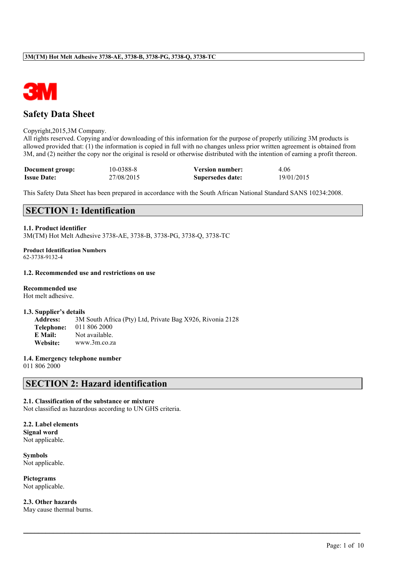

# **Safety Data Sheet**

#### Copyright,2015,3M Company.

All rights reserved. Copying and/or downloading of this information for the purpose of properly utilizing 3M products is allowed provided that: (1) the information is copied in full with no changes unless prior written agreement is obtained from 3M, and (2) neither the copy nor the original is resold or otherwise distributed with the intention of earning a profit thereon.

| Document group:    | 10-0388-8  | <b>Version number:</b> | 4.06       |
|--------------------|------------|------------------------|------------|
| <b>Issue Date:</b> | 27/08/2015 | Supersedes date:       | 19/01/2015 |

This Safety Data Sheet has been prepared in accordance with the South African National Standard SANS 10234:2008.

 $\mathcal{L}_\mathcal{L} = \mathcal{L}_\mathcal{L} = \mathcal{L}_\mathcal{L} = \mathcal{L}_\mathcal{L} = \mathcal{L}_\mathcal{L} = \mathcal{L}_\mathcal{L} = \mathcal{L}_\mathcal{L} = \mathcal{L}_\mathcal{L} = \mathcal{L}_\mathcal{L} = \mathcal{L}_\mathcal{L} = \mathcal{L}_\mathcal{L} = \mathcal{L}_\mathcal{L} = \mathcal{L}_\mathcal{L} = \mathcal{L}_\mathcal{L} = \mathcal{L}_\mathcal{L} = \mathcal{L}_\mathcal{L} = \mathcal{L}_\mathcal{L}$ 

# **SECTION 1: Identification**

## **1.1. Product identifier**

3M(TM) Hot Melt Adhesive 3738-AE, 3738-B, 3738-PG, 3738-Q, 3738-TC

**Product Identification Numbers** 62-3738-9132-4

### **1.2. Recommended use and restrictions on use**

#### **Recommended use**

Hot melt adhesive.

#### **1.3. Supplier's details**

**Address:** 3M South Africa (Pty) Ltd, Private Bag X926, Rivonia 2128 **Telephone:** 011 806 2000 **E Mail:** Not available. **Website:** www.3m.co.za

**1.4. Emergency telephone number**

011 806 2000

# **SECTION 2: Hazard identification**

## **2.1. Classification of the substance or mixture**

Not classified as hazardous according to UN GHS criteria.

**2.2. Label elements Signal word** Not applicable.

**Symbols** Not applicable.

**Pictograms** Not applicable.

**2.3. Other hazards** May cause thermal burns.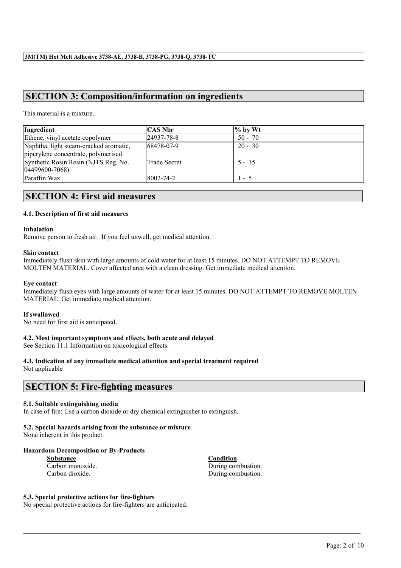# **SECTION 3: Composition/information on ingredients**

This material is a mixture.

| Ingredient                                                                    | <b>CAS Nbr</b>      | $%$ by Wt |
|-------------------------------------------------------------------------------|---------------------|-----------|
| Ethene, vinyl acetate copolymer                                               | 24937-78-8          | $50 - 70$ |
| Naphtha, light steam-cracked aromatic,<br>piperylene concentrate, polymerised | 68478-07-9          | $20 - 30$ |
| Synthetic Rosin Resin (NJTS Reg. No.<br>04499600-7068)                        | <b>Trade Secret</b> | $5 - 15$  |
| Paraffin Wax                                                                  | 8002-74-2           | $-5$      |

# **SECTION 4: First aid measures**

#### **4.1. Description of first aid measures**

#### **Inhalation**

Remove person to fresh air. If you feel unwell, get medical attention.

#### **Skin contact**

Immediately flush skin with large amounts of cold water for at least 15 minutes. DO NOT ATTEMPT TO REMOVE MOLTEN MATERIAL. Cover affected area with a clean dressing. Get immediate medical attention.

#### **Eye contact**

Immediately flush eyes with large amounts of water for at least 15 minutes. DO NOT ATTEMPT TO REMOVE MOLTEN MATERIAL. Get immediate medical attention.

 $\mathcal{L}_\mathcal{L} = \mathcal{L}_\mathcal{L} = \mathcal{L}_\mathcal{L} = \mathcal{L}_\mathcal{L} = \mathcal{L}_\mathcal{L} = \mathcal{L}_\mathcal{L} = \mathcal{L}_\mathcal{L} = \mathcal{L}_\mathcal{L} = \mathcal{L}_\mathcal{L} = \mathcal{L}_\mathcal{L} = \mathcal{L}_\mathcal{L} = \mathcal{L}_\mathcal{L} = \mathcal{L}_\mathcal{L} = \mathcal{L}_\mathcal{L} = \mathcal{L}_\mathcal{L} = \mathcal{L}_\mathcal{L} = \mathcal{L}_\mathcal{L}$ 

#### **If swallowed**

No need for first aid is anticipated.

## **4.2. Most important symptoms and effects, both acute and delayed**

See Section 11.1 Information on toxicological effects

#### **4.3. Indication of any immediate medical attention and special treatment required** Not applicable

# **SECTION 5: Fire-fighting measures**

## **5.1. Suitable extinguishing media**

In case of fire: Use a carbon dioxide or dry chemical extinguisher to extinguish.

# **5.2. Special hazards arising from the substance or mixture**

None inherent in this product.

## **Hazardous Decomposition or By-Products**

| <b>Substance</b> |  |
|------------------|--|
| Carbon monoxide. |  |
| Carbon dioxide.  |  |

**Condition** During combustion. During combustion.

#### **5.3. Special protective actions for fire-fighters**

No special protective actions for fire-fighters are anticipated.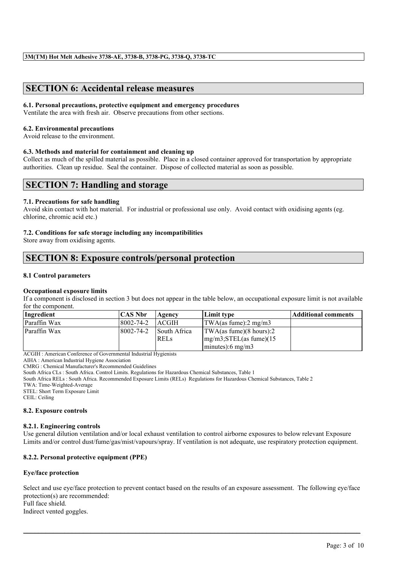# **SECTION 6: Accidental release measures**

## **6.1. Personal precautions, protective equipment and emergency procedures**

Ventilate the area with fresh air. Observe precautions from other sections.

#### **6.2. Environmental precautions**

Avoid release to the environment.

## **6.3. Methods and material for containment and cleaning up**

Collect as much of the spilled material as possible. Place in a closed container approved for transportation by appropriate authorities. Clean up residue. Seal the container. Dispose of collected material as soon as possible.

# **SECTION 7: Handling and storage**

#### **7.1. Precautions for safe handling**

Avoid skin contact with hot material. For industrial or professional use only. Avoid contact with oxidising agents (eg. chlorine, chromic acid etc.)

#### **7.2. Conditions for safe storage including any incompatibilities**

Store away from oxidising agents.

# **SECTION 8: Exposure controls/personal protection**

#### **8.1 Control parameters**

#### **Occupational exposure limits**

If a component is disclosed in section 3 but does not appear in the table below, an occupational exposure limit is not available for the component.

| Ingredient   | <b>CAS Nbr</b> | Agency                      | Limit type                                                                                                              | <b>Additional comments</b> |
|--------------|----------------|-----------------------------|-------------------------------------------------------------------------------------------------------------------------|----------------------------|
| Paraffin Wax | 8002-74-2      | <b>ACGIH</b>                | TWA(as fume): $2 \text{ mg/m}$ 3                                                                                        |                            |
| Paraffin Wax | 8002-74-2      | South Africa<br><b>RELS</b> | $\text{TWA}\left(\text{as fume}\right)\left(\text{8 hours}\right):2$<br>$mg/m3$ ; STEL(as fume)(15)<br>minutes):6 mg/m3 |                            |

ACGIH : American Conference of Governmental Industrial Hygienists

AIHA : American Industrial Hygiene Association

CMRG : Chemical Manufacturer's Recommended Guidelines

South Africa CLs : South Africa. Control Limits. Regulations for Hazardous Chemical Substances, Table 1

South Africa RELs : South Africa. Recommended Exposure Limits (RELs) Regulations for Hazardous Chemical Substances, Table 2

TWA: Time-Weighted-Average

STEL: Short Term Exposure Limit

CEIL: Ceiling

#### **8.2. Exposure controls**

#### **8.2.1. Engineering controls**

Use general dilution ventilation and/or local exhaust ventilation to control airborne exposures to below relevant Exposure Limits and/or control dust/fume/gas/mist/vapours/spray. If ventilation is not adequate, use respiratory protection equipment.

## **8.2.2. Personal protective equipment (PPE)**

#### **Eye/face protection**

Select and use eye/face protection to prevent contact based on the results of an exposure assessment. The following eye/face protection(s) are recommended: Full face shield.

 $\mathcal{L}_\mathcal{L} = \mathcal{L}_\mathcal{L} = \mathcal{L}_\mathcal{L} = \mathcal{L}_\mathcal{L} = \mathcal{L}_\mathcal{L} = \mathcal{L}_\mathcal{L} = \mathcal{L}_\mathcal{L} = \mathcal{L}_\mathcal{L} = \mathcal{L}_\mathcal{L} = \mathcal{L}_\mathcal{L} = \mathcal{L}_\mathcal{L} = \mathcal{L}_\mathcal{L} = \mathcal{L}_\mathcal{L} = \mathcal{L}_\mathcal{L} = \mathcal{L}_\mathcal{L} = \mathcal{L}_\mathcal{L} = \mathcal{L}_\mathcal{L}$ 

Indirect vented goggles.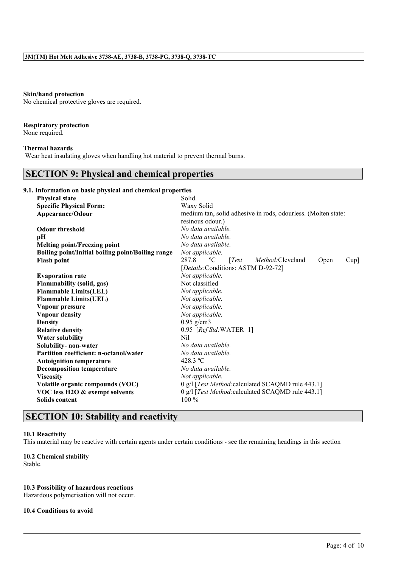#### **Skin/hand protection**

No chemical protective gloves are required.

### **Respiratory protection**

None required.

#### **Thermal hazards**

Wear heat insulating gloves when handling hot material to prevent thermal burns.

# **SECTION 9: Physical and chemical properties**

# **9.1. Information on basic physical and chemical properties**

| <b>Physical state</b>                             | Solid.                                                                      |  |  |  |  |
|---------------------------------------------------|-----------------------------------------------------------------------------|--|--|--|--|
| <b>Specific Physical Form:</b>                    | Waxy Solid                                                                  |  |  |  |  |
| Appearance/Odour                                  | medium tan, solid adhesive in rods, odourless. (Molten state:               |  |  |  |  |
|                                                   | resinous odour.)                                                            |  |  |  |  |
| <b>Odour threshold</b>                            | No data available.                                                          |  |  |  |  |
| pН                                                | No data available.                                                          |  |  |  |  |
| <b>Melting point/Freezing point</b>               | No data available.                                                          |  |  |  |  |
| Boiling point/Initial boiling point/Boiling range | Not applicable.                                                             |  |  |  |  |
| <b>Flash point</b>                                | 287.8<br>Test<br><i>Method:</i> Cleveland<br>$\rm ^{o}C$<br>Open<br>$Cup$ ] |  |  |  |  |
|                                                   | [Details:Conditions: ASTM D-92-72]                                          |  |  |  |  |
| <b>Evaporation rate</b>                           | Not applicable.                                                             |  |  |  |  |
| <b>Flammability (solid, gas)</b>                  | Not classified                                                              |  |  |  |  |
| <b>Flammable Limits(LEL)</b>                      | Not applicable.                                                             |  |  |  |  |
| <b>Flammable Limits(UEL)</b>                      | Not applicable.                                                             |  |  |  |  |
| Vapour pressure                                   | Not applicable.                                                             |  |  |  |  |
| <b>Vapour density</b>                             | Not applicable.                                                             |  |  |  |  |
| <b>Density</b>                                    | $0.95$ g/cm3                                                                |  |  |  |  |
| <b>Relative density</b>                           | 0.95 [Ref Std: WATER=1]                                                     |  |  |  |  |
| <b>Water solubility</b>                           | Nil                                                                         |  |  |  |  |
| Solubility- non-water                             | No data available.                                                          |  |  |  |  |
| <b>Partition coefficient: n-octanol/water</b>     | No data available.                                                          |  |  |  |  |
| <b>Autoignition temperature</b>                   | 428.3 °C                                                                    |  |  |  |  |
| <b>Decomposition temperature</b>                  | No data available.                                                          |  |  |  |  |
| <b>Viscosity</b>                                  | Not applicable.                                                             |  |  |  |  |
| Volatile organic compounds (VOC)                  | 0 g/l [Test Method: calculated SCAQMD rule 443.1]                           |  |  |  |  |
| VOC less H2O & exempt solvents                    | 0 g/l [Test Method: calculated SCAQMD rule 443.1]                           |  |  |  |  |
| <b>Solids content</b>                             | $100\%$                                                                     |  |  |  |  |
|                                                   |                                                                             |  |  |  |  |

# **SECTION 10: Stability and reactivity**

#### **10.1 Reactivity**

This material may be reactive with certain agents under certain conditions - see the remaining headings in this section

 $\mathcal{L}_\mathcal{L} = \mathcal{L}_\mathcal{L} = \mathcal{L}_\mathcal{L} = \mathcal{L}_\mathcal{L} = \mathcal{L}_\mathcal{L} = \mathcal{L}_\mathcal{L} = \mathcal{L}_\mathcal{L} = \mathcal{L}_\mathcal{L} = \mathcal{L}_\mathcal{L} = \mathcal{L}_\mathcal{L} = \mathcal{L}_\mathcal{L} = \mathcal{L}_\mathcal{L} = \mathcal{L}_\mathcal{L} = \mathcal{L}_\mathcal{L} = \mathcal{L}_\mathcal{L} = \mathcal{L}_\mathcal{L} = \mathcal{L}_\mathcal{L}$ 

# **10.2 Chemical stability**

Stable.

## **10.3 Possibility of hazardous reactions**

Hazardous polymerisation will not occur.

# **10.4 Conditions to avoid**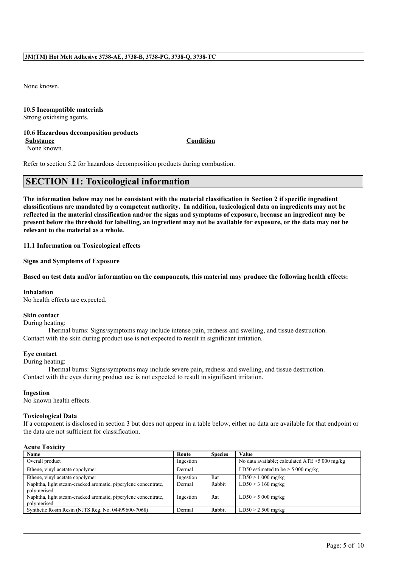None known.

# **10.5 Incompatible materials**

Strong oxidising agents.

#### **10.6 Hazardous decomposition products Substance Condition**

None known.

Refer to section 5.2 for hazardous decomposition products during combustion.

# **SECTION 11: Toxicological information**

**The information below may not be consistent with the material classification in Section 2 if specific ingredient classifications are mandated by a competent authority. In addition, toxicological data on ingredients may not be reflected in the material classification and/or the signs and symptoms of exposure, because an ingredient may be present below the threshold for labelling, an ingredient may not be available for exposure, or the data may not be relevant to the material as a whole.**

**11.1 Information on Toxicological effects**

**Signs and Symptoms of Exposure**

**Based on test data and/or information on the components, this material may produce the following health effects:**

#### **Inhalation**

No health effects are expected.

#### **Skin contact**

During heating:

Thermal burns: Signs/symptoms may include intense pain, redness and swelling, and tissue destruction. Contact with the skin during product use is not expected to result in significant irritation.

## **Eye contact**

During heating:

Thermal burns: Signs/symptoms may include severe pain, redness and swelling, and tissue destruction. Contact with the eyes during product use is not expected to result in significant irritation.

#### **Ingestion**

No known health effects.

#### **Toxicological Data**

If a component is disclosed in section 3 but does not appear in a table below, either no data are available for that endpoint or the data are not sufficient for classification.

## **Acute Toxicity**

| Name                                                                          | Route     | <b>Species</b> | Value                                            |
|-------------------------------------------------------------------------------|-----------|----------------|--------------------------------------------------|
| Overall product                                                               | Ingestion |                | No data available; calculated $ATE > 5000$ mg/kg |
| Ethene, vinyl acetate copolymer                                               | Dermal    |                | LD50 estimated to be $>$ 5 000 mg/kg             |
| Ethene, vinyl acetate copolymer                                               | Ingestion | Rat            | $LD50 > 1000$ mg/kg                              |
| Naphtha, light steam-cracked aromatic, piperylene concentrate,<br>polymerised | Dermal    | Rabbit         | $LD50 > 3160$ mg/kg                              |
| Naphtha, light steam-cracked aromatic, piperylene concentrate,<br>polymerised | Ingestion | Rat            | $LD50 > 5000$ mg/kg                              |
| Synthetic Rosin Resin (NJTS Reg. No. 04499600-7068)                           | Dermal    | Rabbit         | $LD50 > 2500$ mg/kg                              |

 $\mathcal{L}_\mathcal{L} = \mathcal{L}_\mathcal{L} = \mathcal{L}_\mathcal{L} = \mathcal{L}_\mathcal{L} = \mathcal{L}_\mathcal{L} = \mathcal{L}_\mathcal{L} = \mathcal{L}_\mathcal{L} = \mathcal{L}_\mathcal{L} = \mathcal{L}_\mathcal{L} = \mathcal{L}_\mathcal{L} = \mathcal{L}_\mathcal{L} = \mathcal{L}_\mathcal{L} = \mathcal{L}_\mathcal{L} = \mathcal{L}_\mathcal{L} = \mathcal{L}_\mathcal{L} = \mathcal{L}_\mathcal{L} = \mathcal{L}_\mathcal{L}$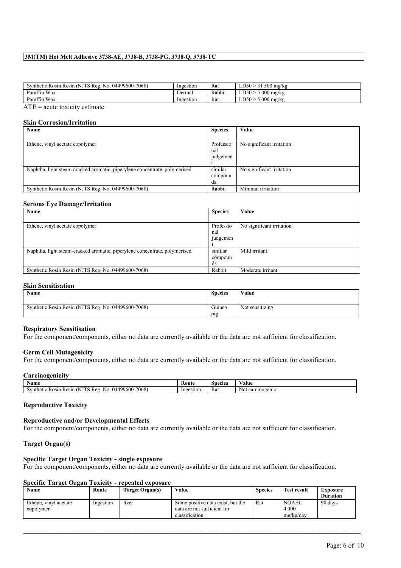## **3M(TM) Hot Melt Adhesive 3738-AE, 3738-B, 3738-PG, 3738-Q, 3738-TC**

| Synthetic Rosin Resin (NJTS Reg. No. 04499600-7068) | Ingestion | Rat    | $LD50 > 31500$ mg/kg |
|-----------------------------------------------------|-----------|--------|----------------------|
| Paraffin Wax                                        | Dermal    | Rabbit | $LD50 > 5000$ mg/kg  |
| Paraffin Wax                                        | Ingestion | Rat    | $LD50 > 5000$ mg/kg  |
| $\overline{a}$                                      |           |        |                      |

 $ATE = acute$  toxicity estimate

## **Skin Corrosion/Irritation**

| Name                                                                       | <b>Species</b>               | Value                     |
|----------------------------------------------------------------------------|------------------------------|---------------------------|
|                                                                            |                              |                           |
| Ethene, vinyl acetate copolymer                                            | Professio<br>nal<br>judgemen | No significant irritation |
| Naphtha, light steam-cracked aromatic, piperylene concentrate, polymerised | similar<br>compoun<br>ds     | No significant irritation |
| Synthetic Rosin Resin (NJTS Reg. No. 04499600-7068)                        | Rabbit                       | Minimal irritation        |

#### **Serious Eye Damage/Irritation**

| Name                                                                       | <b>Species</b> | Value                     |
|----------------------------------------------------------------------------|----------------|---------------------------|
|                                                                            |                |                           |
| Ethene, vinyl acetate copolymer                                            | Professio      | No significant irritation |
|                                                                            | nal            |                           |
|                                                                            | judgemen       |                           |
|                                                                            |                |                           |
| Naphtha, light steam-cracked aromatic, piperylene concentrate, polymerised | similar        | Mild irritant             |
|                                                                            | compoun        |                           |
|                                                                            | ds             |                           |
| Synthetic Rosin Resin (NJTS Reg. No. 04499600-7068)                        | Rabbit         | Moderate irritant         |

## **Skin Sensitisation**

| Name                                                | <b>Species</b> | Value           |
|-----------------------------------------------------|----------------|-----------------|
| Synthetic Rosin Resin (NJTS Reg. No. 04499600-7068) | Guinea         | Not sensitizing |
|                                                     | pig            |                 |

#### **Respiratory Sensitisation**

For the component/components, either no data are currently available or the data are not sufficient for classification.

#### **Germ Cell Mutagenicity**

For the component/components, either no data are currently available or the data are not sufficient for classification.

#### **Carcinogenicity**

| Name                                                                                  | -<br>Route | Species | ⁄ alue              |
|---------------------------------------------------------------------------------------|------------|---------|---------------------|
| 04499600-7068<br>uthet.<br><b>Rosin</b><br>Resin<br>$\mathbf{N}$<br>Ke2<br>N6.<br>. . | Ingestion  | - Rat   | carcinogenic<br>Not |

#### **Reproductive Toxicity**

### **Reproductive and/or Developmental Effects**

For the component/components, either no data are currently available or the data are not sufficient for classification.

### **Target Organ(s)**

#### **Specific Target Organ Toxicity - single exposure**

For the component/components, either no data are currently available or the data are not sufficient for classification.

### **Specific Target Organ Toxicity - repeated exposure**

| Name                  | Route     | Target Organ(s) | Value                             | <b>Species</b> | <b>Test result</b> | Exposure        |
|-----------------------|-----------|-----------------|-----------------------------------|----------------|--------------------|-----------------|
|                       |           |                 |                                   |                |                    | <b>Duration</b> |
| Ethene, vinyl acetate | Ingestion | liver           | Some positive data exist, but the | Rat            | <b>NOAEL</b>       | 90 days         |
| copolymer             |           |                 | data are not sufficient for       |                | 4 0 0 0            |                 |
|                       |           |                 | classification                    |                | mg/kg/day          |                 |

 $\mathcal{L}_\mathcal{L} = \mathcal{L}_\mathcal{L} = \mathcal{L}_\mathcal{L} = \mathcal{L}_\mathcal{L} = \mathcal{L}_\mathcal{L} = \mathcal{L}_\mathcal{L} = \mathcal{L}_\mathcal{L} = \mathcal{L}_\mathcal{L} = \mathcal{L}_\mathcal{L} = \mathcal{L}_\mathcal{L} = \mathcal{L}_\mathcal{L} = \mathcal{L}_\mathcal{L} = \mathcal{L}_\mathcal{L} = \mathcal{L}_\mathcal{L} = \mathcal{L}_\mathcal{L} = \mathcal{L}_\mathcal{L} = \mathcal{L}_\mathcal{L}$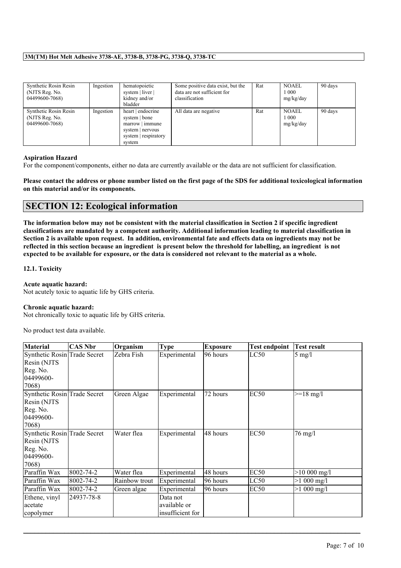# **3M(TM) Hot Melt Adhesive 3738-AE, 3738-B, 3738-PG, 3738-Q, 3738-TC**

| Synthetic Rosin Resin<br>(NJTS Reg. No.<br>04499600-7068) | Ingestion | hematopoietic<br>system   liver  <br>kidney and/or<br>bladder                                               | Some positive data exist, but the<br>data are not sufficient for<br>classification | Rat | <b>NOAEL</b><br>1 000<br>mg/kg/day | 90 days |
|-----------------------------------------------------------|-----------|-------------------------------------------------------------------------------------------------------------|------------------------------------------------------------------------------------|-----|------------------------------------|---------|
| Synthetic Rosin Resin<br>(NJTS Reg. No.<br>04499600-7068) | Ingestion | heart   endocrine<br>system   bone<br>$marrow$   immune<br>system   nervous<br>system respiratory<br>system | All data are negative                                                              | Rat | NOAEL<br>1 000<br>mg/kg/day        | 90 days |

## **Aspiration Hazard**

For the component/components, either no data are currently available or the data are not sufficient for classification.

**Please contact the address or phone number listed on the first page of the SDS for additional toxicological information on this material and/or its components.**

# **SECTION 12: Ecological information**

**The information below may not be consistent with the material classification in Section 2 if specific ingredient classifications are mandated by a competent authority. Additional information leading to material classification in Section 2 is available upon request. In addition, environmental fate and effects data on ingredients may not be reflected in this section because an ingredient is present below the threshold for labelling, an ingredient is not expected to be available for exposure, or the data is considered not relevant to the material as a whole.**

## **12.1. Toxicity**

# **Acute aquatic hazard:**

Not acutely toxic to aquatic life by GHS criteria.

## **Chronic aquatic hazard:**

Not chronically toxic to aquatic life by GHS criteria.

No product test data available.

| <b>Material</b>                                                               | <b>CAS Nbr</b> | Organism      | <b>Type</b>                                  | <b>Exposure</b> | <b>Test endpoint</b> | <b>Test result</b>  |
|-------------------------------------------------------------------------------|----------------|---------------|----------------------------------------------|-----------------|----------------------|---------------------|
| Synthetic Rosin Trade Secret<br>Resin (NJTS<br>Reg. No.<br>04499600-<br>7068) |                | Zebra Fish    | Experimental                                 | 96 hours        | LC50                 | $5 \text{ mg/l}$    |
| Synthetic Rosin Trade Secret<br>Resin (NJTS<br>Reg. No.<br>04499600-<br>7068) |                | Green Algae   | Experimental                                 | 72 hours        | EC <sub>50</sub>     | $>=18 \text{ mg}/1$ |
| Synthetic Rosin Trade Secret<br>Resin (NJTS<br>Reg. No.<br>04499600-<br>7068) |                | Water flea    | Experimental                                 | 48 hours        | EC <sub>50</sub>     | 76 mg/l             |
| Paraffin Wax                                                                  | 8002-74-2      | Water flea    | Experimental                                 | 48 hours        | EC <sub>50</sub>     | $>10000$ mg/l       |
| Paraffin Wax                                                                  | 8002-74-2      | Rainbow trout | Experimental                                 | 96 hours        | LC50                 | $>1000$ mg/l        |
| Paraffin Wax                                                                  | 8002-74-2      | Green algae   | Experimental                                 | 96 hours        | EC <sub>50</sub>     | $>1000$ mg/l        |
| Ethene, vinyl<br>acetate<br>copolymer                                         | 24937-78-8     |               | Data not<br>available or<br>insufficient for |                 |                      |                     |

 $\mathcal{L}_\mathcal{L} = \mathcal{L}_\mathcal{L} = \mathcal{L}_\mathcal{L} = \mathcal{L}_\mathcal{L} = \mathcal{L}_\mathcal{L} = \mathcal{L}_\mathcal{L} = \mathcal{L}_\mathcal{L} = \mathcal{L}_\mathcal{L} = \mathcal{L}_\mathcal{L} = \mathcal{L}_\mathcal{L} = \mathcal{L}_\mathcal{L} = \mathcal{L}_\mathcal{L} = \mathcal{L}_\mathcal{L} = \mathcal{L}_\mathcal{L} = \mathcal{L}_\mathcal{L} = \mathcal{L}_\mathcal{L} = \mathcal{L}_\mathcal{L}$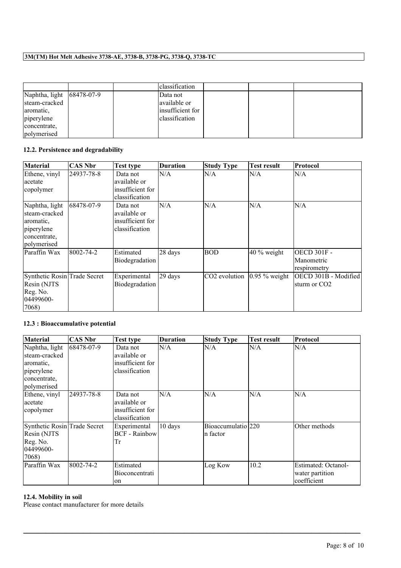# **3M(TM) Hot Melt Adhesive 3738-AE, 3738-B, 3738-PG, 3738-Q, 3738-TC**

|                           |  | classification   |  |  |
|---------------------------|--|------------------|--|--|
| Naphtha, light 68478-07-9 |  | Data not         |  |  |
| steam-cracked             |  | available or     |  |  |
| aromatic.                 |  | insufficient for |  |  |
| piperylene                |  | classification   |  |  |
| concentrate.              |  |                  |  |  |
| polymerised               |  |                  |  |  |

# **12.2. Persistence and degradability**

| <b>Material</b>                                                                           | <b>CAS Nbr</b> | <b>Test type</b>                                               | <b>Duration</b> | <b>Study Type</b> | <b>Test result</b> | Protocol                                         |
|-------------------------------------------------------------------------------------------|----------------|----------------------------------------------------------------|-----------------|-------------------|--------------------|--------------------------------------------------|
| Ethene, vinyl<br>acetate<br>copolymer                                                     | 24937-78-8     | Data not<br>available or<br>insufficient for<br>classification | N/A             | N/A               | N/A                | N/A                                              |
| Naphtha, light<br>steam-cracked<br>aromatic,<br>piperylene<br>concentrate,<br>polymerised | 68478-07-9     | Data not<br>available or<br>insufficient for<br>classification | N/A             | N/A               | N/A                | N/A                                              |
| Paraffin Wax                                                                              | 8002-74-2      | Estimated<br>Biodegradation                                    | 28 days         | <b>BOD</b>        | $40\%$ weight      | <b>OECD 301F -</b><br>Manometric<br>respirometry |
| Synthetic Rosin Trade Secret<br>Resin (NJTS<br>Reg. No.<br>04499600-<br>7068)             |                | Experimental<br>Biodegradation                                 | 29 days         | CO2 evolution     | $0.95\%$ weight    | OECD 301B - Modified<br>sturm or CO <sub>2</sub> |

# **12.3 : Bioaccumulative potential**

| <b>Material</b>                                                                           | <b>CAS Nbr</b> | <b>Test type</b>                                               | <b>Duration</b> | <b>Study Type</b>              | <b>Test result</b> | <b>Protocol</b>                                       |
|-------------------------------------------------------------------------------------------|----------------|----------------------------------------------------------------|-----------------|--------------------------------|--------------------|-------------------------------------------------------|
| Naphtha, light<br>steam-cracked<br>aromatic,<br>piperylene<br>concentrate,<br>polymerised | 68478-07-9     | Data not<br>available or<br>insufficient for<br>classification | N/A             | N/A                            | N/A                | N/A                                                   |
| Ethene, vinyl<br>acetate<br>copolymer                                                     | 24937-78-8     | Data not<br>available or<br>insufficient for<br>classification | N/A             | N/A                            | N/A                | N/A                                                   |
| Synthetic Rosin Trade Secret<br>Resin (NJTS<br>Reg. No.<br>04499600-<br>7068)             |                | Experimental<br><b>BCF</b> - Rainbow<br>Tr                     | 10 days         | Bioaccumulatio 220<br>n factor |                    | Other methods                                         |
| Paraffin Wax                                                                              | 8002-74-2      | Estimated<br><b>Bioconcentrati</b><br>on                       |                 | Log Kow                        | 10.2               | Estimated: Octanol-<br>water partition<br>coefficient |

 $\mathcal{L}_\mathcal{L} = \mathcal{L}_\mathcal{L} = \mathcal{L}_\mathcal{L} = \mathcal{L}_\mathcal{L} = \mathcal{L}_\mathcal{L} = \mathcal{L}_\mathcal{L} = \mathcal{L}_\mathcal{L} = \mathcal{L}_\mathcal{L} = \mathcal{L}_\mathcal{L} = \mathcal{L}_\mathcal{L} = \mathcal{L}_\mathcal{L} = \mathcal{L}_\mathcal{L} = \mathcal{L}_\mathcal{L} = \mathcal{L}_\mathcal{L} = \mathcal{L}_\mathcal{L} = \mathcal{L}_\mathcal{L} = \mathcal{L}_\mathcal{L}$ 

# **12.4. Mobility in soil**

Please contact manufacturer for more details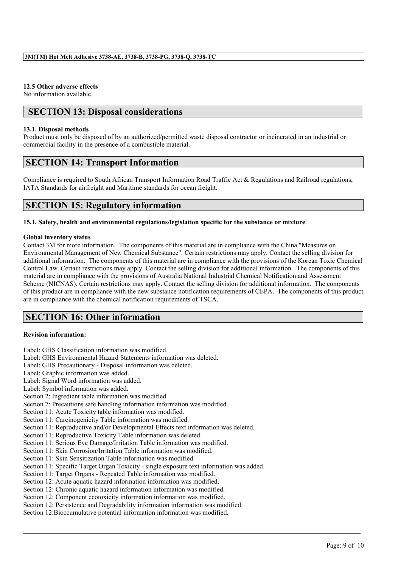## **12.5 Other adverse effects**

No information available.

# **SECTION 13: Disposal considerations**

## **13.1. Disposal methods**

Product must only be disposed of by an authorized/permitted waste disposal contractor or incinerated in an industrial or commercial facility in the presence of a combustible material.

# **SECTION 14: Transport Information**

Compliance is required to South African Transport Information Road Traffic Act & Regulations and Railroad regulations, IATA Standards for airfreight and Maritime standards for ocean freight.

# **SECTION 15: Regulatory information**

## **15.1. Safety, health and environmental regulations/legislation specific for the substance or mixture**

## **Global inventory status**

Contact 3M for more information. The components of this material are in compliance with the China "Measures on Environmental Management of New Chemical Substance". Certain restrictions may apply. Contact the selling division for additional information. The components of this material are in compliance with the provisions of the Korean Toxic Chemical Control Law. Certain restrictions may apply. Contact the selling division for additional information. The components of this material are in compliance with the provisions of Australia National Industrial Chemical Notification and Assessment Scheme (NICNAS). Certain restrictions may apply. Contact the selling division for additional information. The components of this product are in compliance with the new substance notification requirements of CEPA. The components of this product are in compliance with the chemical notification requirements of TSCA.

 $\mathcal{L}_\mathcal{L} = \mathcal{L}_\mathcal{L} = \mathcal{L}_\mathcal{L} = \mathcal{L}_\mathcal{L} = \mathcal{L}_\mathcal{L} = \mathcal{L}_\mathcal{L} = \mathcal{L}_\mathcal{L} = \mathcal{L}_\mathcal{L} = \mathcal{L}_\mathcal{L} = \mathcal{L}_\mathcal{L} = \mathcal{L}_\mathcal{L} = \mathcal{L}_\mathcal{L} = \mathcal{L}_\mathcal{L} = \mathcal{L}_\mathcal{L} = \mathcal{L}_\mathcal{L} = \mathcal{L}_\mathcal{L} = \mathcal{L}_\mathcal{L}$ 

# **SECTION 16: Other information**

## **Revision information:**

- Label: GHS Classification information was modified.
- Label: GHS Environmental Hazard Statements information was deleted.
- Label: GHS Precautionary Disposal information was deleted.
- Label: Graphic information was added.
- Label: Signal Word information was added.
- Label: Symbol information was added.
- Section 2: Ingredient table information was modified.
- Section 7: Precautions safe handling information information was modified.
- Section 11: Acute Toxicity table information was modified.
- Section 11: Carcinogenicity Table information was modified.
- Section 11: Reproductive and/or Developmental Effects text information was deleted.
- Section 11: Reproductive Toxicity Table information was deleted.
- Section 11: Serious Eye Damage/Irritation Table information was modified.
- Section 11: Skin Corrosion/Irritation Table information was modified.
- Section 11: Skin Sensitization Table information was modified.
- Section 11: Specific Target Organ Toxicity single exposure text information was added.
- Section 11: Target Organs Repeated Table information was modified.
- Section 12: Acute aquatic hazard information information was modified.
- Section 12: Chronic aquatic hazard information information was modified.
- Section 12: Component ecotoxicity information information was modified.
- Section 12: Persistence and Degradability information information was modified.
- Section 12:Bioccumulative potential information information was modified.